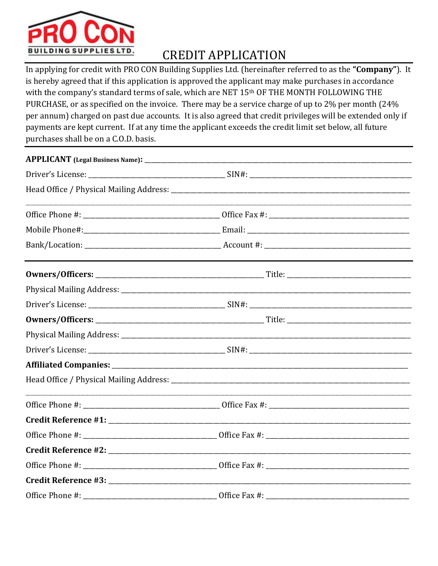

## **CREDIT APPLICATION**

In applying for credit with PRO CON Building Supplies Ltd. (hereinafter referred to as the "Company"). It is hereby agreed that if this application is approved the applicant may make purchases in accordance with the company's standard terms of sale, which are NET 15th OF THE MONTH FOLLOWING THE PURCHASE, or as specified on the invoice. There may be a service charge of up to 2% per month (24% per annum) charged on past due accounts. It is also agreed that credit privileges will be extended only if payments are kept current. If at any time the applicant exceeds the credit limit set below, all future purchases shall be on a C.O.D. basis.

| Office Phone #: | Office Fax #: |  |
|-----------------|---------------|--|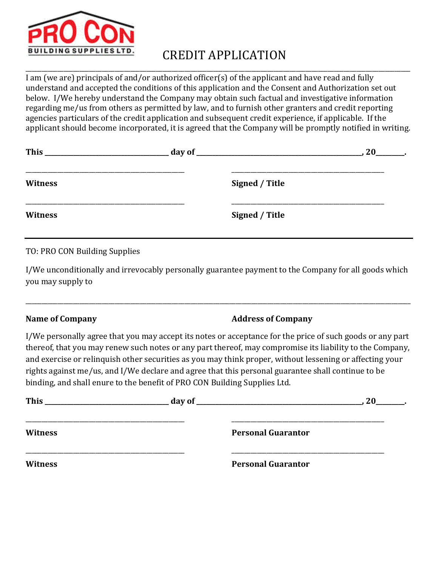

# CREDIT APPLICATION

\_\_\_\_\_\_\_\_\_\_\_\_\_\_\_\_\_\_\_\_\_\_\_\_\_\_\_\_\_\_\_\_\_\_\_\_\_\_\_\_\_\_\_\_\_\_\_\_\_\_\_\_\_\_\_\_\_\_\_\_\_\_\_\_\_\_\_\_\_\_\_\_\_\_\_\_\_\_\_\_\_\_\_\_\_\_\_\_\_\_\_\_\_\_\_\_\_\_\_\_\_\_\_\_\_\_\_\_\_\_\_\_\_\_\_\_\_\_\_\_\_ I am (we are) principals of and/or authorized officer(s) of the applicant and have read and fully understand and accepted the conditions of this application and the Consent and Authorization set out below. I/We hereby understand the Company may obtain such factual and investigative information regarding me/us from others as permitted by law, and to furnish other granters and credit reporting agencies particulars of the credit application and subsequent credit experience, if applicable. If the applicant should become incorporated, it is agreed that the Company will be promptly notified in writing.

| <b>This</b>    | 20             |
|----------------|----------------|
| <b>Witness</b> | Signed / Title |
| <b>Witness</b> | Signed / Title |

TO: PRO CON Building Supplies

I/We unconditionally and irrevocably personally guarantee payment to the Company for all goods which you may supply to

\_\_\_\_\_\_\_\_\_\_\_\_\_\_\_\_\_\_\_\_\_\_\_\_\_\_\_\_\_\_\_\_\_\_\_\_\_\_\_\_\_\_\_\_\_\_\_\_\_\_\_\_\_\_\_\_\_\_\_\_\_\_\_\_\_\_\_\_\_\_\_\_\_\_\_\_\_\_\_\_\_\_\_\_\_\_\_\_\_\_\_\_\_\_\_\_\_\_\_\_\_\_\_\_\_\_\_\_\_\_\_\_\_\_\_\_\_\_\_\_\_

#### **Name of Company Address of Company**

I/We personally agree that you may accept its notes or acceptance for the price of such goods or any part thereof, that you may renew such notes or any part thereof, may compromise its liability to the Company, and exercise or relinquish other securities as you may think proper, without lessening or affecting your rights against me/us, and I/We declare and agree that this personal guarantee shall continue to be binding, and shall enure to the benefit of PRO CON Building Supplies Ltd.

| <b>This</b><br><u> 1989 - Johann Harry Harry Harry Harry Harry Harry Harry Harry Harry Harry Harry Harry Harry Harry Harry Harry</u> |                           | 20 |
|--------------------------------------------------------------------------------------------------------------------------------------|---------------------------|----|
| <b>Witness</b>                                                                                                                       | <b>Personal Guarantor</b> |    |
| <b>Witness</b>                                                                                                                       | <b>Personal Guarantor</b> |    |